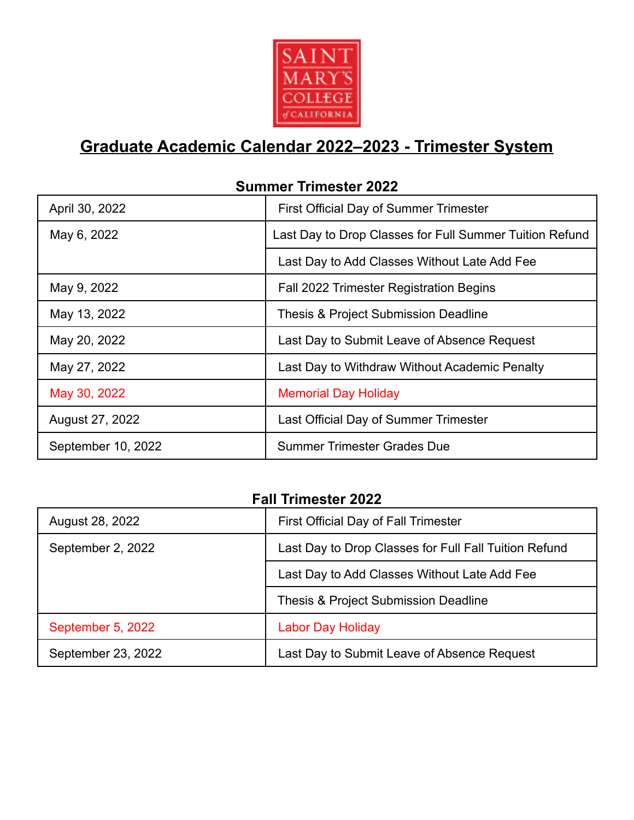

## **Graduate Academic Calendar 2022–2023 - Trimester System**

| April 30, 2022     | First Official Day of Summer Trimester                  |
|--------------------|---------------------------------------------------------|
| May 6, 2022        | Last Day to Drop Classes for Full Summer Tuition Refund |
|                    | Last Day to Add Classes Without Late Add Fee            |
| May 9, 2022        | Fall 2022 Trimester Registration Begins                 |
| May 13, 2022       | Thesis & Project Submission Deadline                    |
| May 20, 2022       | Last Day to Submit Leave of Absence Request             |
| May 27, 2022       | Last Day to Withdraw Without Academic Penalty           |
| May 30, 2022       | <b>Memorial Day Holiday</b>                             |
| August 27, 2022    | Last Official Day of Summer Trimester                   |
| September 10, 2022 | <b>Summer Trimester Grades Due</b>                      |

## **Summer Trimester 2022**

## **Fall Trimester 2022**

| August 28, 2022    | First Official Day of Fall Trimester                  |
|--------------------|-------------------------------------------------------|
| September 2, 2022  | Last Day to Drop Classes for Full Fall Tuition Refund |
|                    | Last Day to Add Classes Without Late Add Fee          |
|                    | Thesis & Project Submission Deadline                  |
| September 5, 2022  | <b>Labor Day Holiday</b>                              |
| September 23, 2022 | Last Day to Submit Leave of Absence Request           |